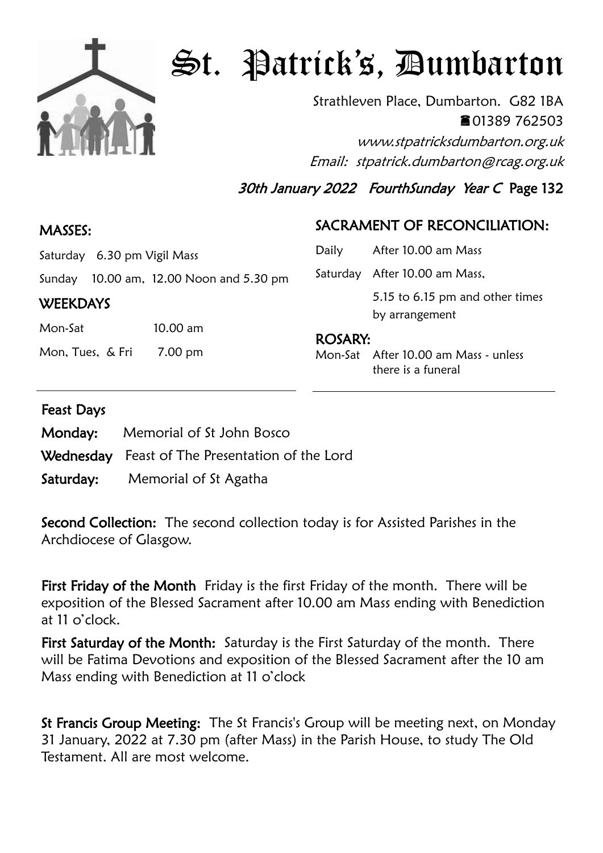

# St. Patrick's, Dumbarton

Strathleven Place, Dumbarton. G82 1BA 01389 762503 www.stpatricksdumbarton.org.uk Email: stpatrick.dumbarton@rcag.org.uk

30th January 2022 FourthSunday Year C Page 132

#### MASSES:

## SACRAMENT OF RECONCILIATION:

| Saturday 6.30 pm Vigil Mass |  |
|-----------------------------|--|
|                             |  |

Sunday 10.00 am, 12.00 Noon and 5.30 pm

#### **WEEKDAYS**

Mon-Sat 10.00 am

Mon, Tues, & Fri 7.00 pm

| Daily          | After 10.00 am Mass             |  |
|----------------|---------------------------------|--|
|                | Saturday After 10.00 am Mass,   |  |
|                | 5.15 to 6.15 pm and other times |  |
|                | by arrangement                  |  |
| <b>ROSARY:</b> |                                 |  |

Mon-Sat After 10.00 am Mass - unless there is a funeral

#### Feast Days

| <b>Monday:</b> Memorial of St John Bosco        |
|-------------------------------------------------|
| Wednesday Feast of The Presentation of the Lord |
| <b>Saturday:</b> Memorial of St Agatha          |

Second Collection: The second collection today is for Assisted Parishes in the Archdiocese of Glasgow.

First Friday of the Month Friday is the first Friday of the month. There will be exposition of the Blessed Sacrament after 10.00 am Mass ending with Benediction at 11 o'clock.

First Saturday of the Month: Saturday is the First Saturday of the month. There will be Fatima Devotions and exposition of the Blessed Sacrament after the 10 am Mass ending with Benediction at 11 o'clock

St Francis Group Meeting: The St Francis's Group will be meeting next, on Monday 31 January, 2022 at 7.30 pm (after Mass) in the Parish House, to study The Old Testament. All are most welcome.